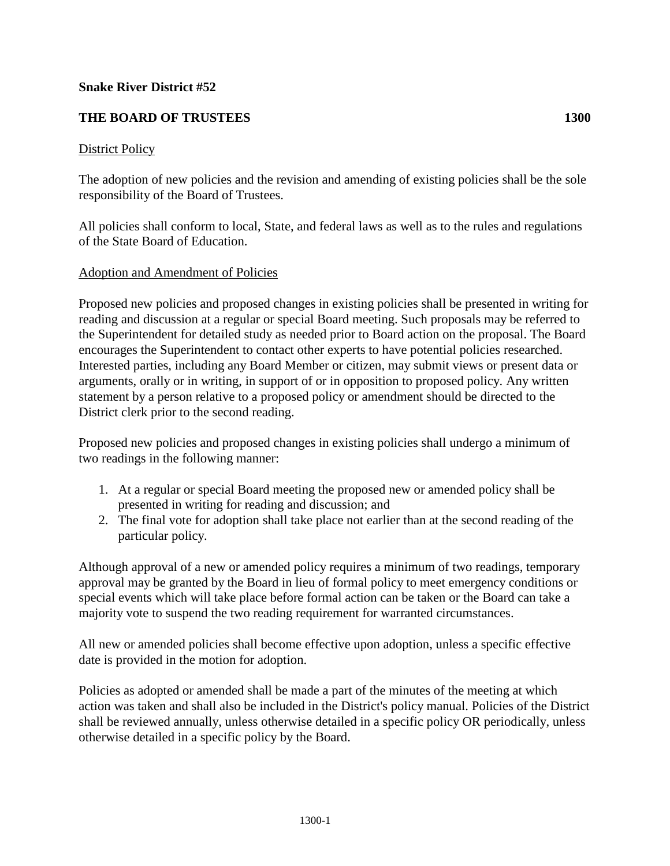## **Snake River District #52**

# **THE BOARD OF TRUSTEES 1300**

### District Policy

The adoption of new policies and the revision and amending of existing policies shall be the sole responsibility of the Board of Trustees.

All policies shall conform to local, State, and federal laws as well as to the rules and regulations of the State Board of Education.

## Adoption and Amendment of Policies

Proposed new policies and proposed changes in existing policies shall be presented in writing for reading and discussion at a regular or special Board meeting. Such proposals may be referred to the Superintendent for detailed study as needed prior to Board action on the proposal. The Board encourages the Superintendent to contact other experts to have potential policies researched. Interested parties, including any Board Member or citizen, may submit views or present data or arguments, orally or in writing, in support of or in opposition to proposed policy. Any written statement by a person relative to a proposed policy or amendment should be directed to the District clerk prior to the second reading.

Proposed new policies and proposed changes in existing policies shall undergo a minimum of two readings in the following manner:

- 1. At a regular or special Board meeting the proposed new or amended policy shall be presented in writing for reading and discussion; and
- 2. The final vote for adoption shall take place not earlier than at the second reading of the particular policy.

Although approval of a new or amended policy requires a minimum of two readings, temporary approval may be granted by the Board in lieu of formal policy to meet emergency conditions or special events which will take place before formal action can be taken or the Board can take a majority vote to suspend the two reading requirement for warranted circumstances.

All new or amended policies shall become effective upon adoption, unless a specific effective date is provided in the motion for adoption.

Policies as adopted or amended shall be made a part of the minutes of the meeting at which action was taken and shall also be included in the District's policy manual. Policies of the District shall be reviewed annually, unless otherwise detailed in a specific policy OR periodically, unless otherwise detailed in a specific policy by the Board.